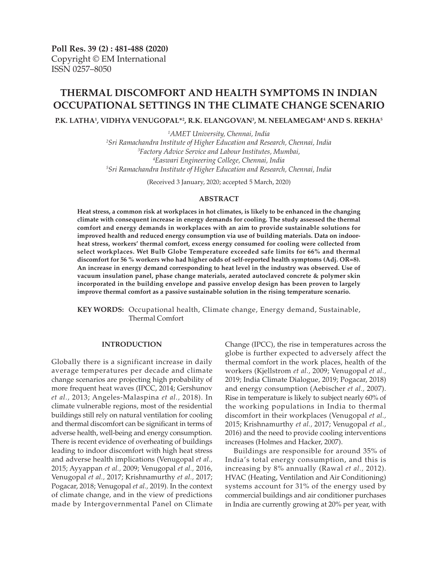**Poll Res. 39 (2) : 481-488 (2020)** Copyright © EM International ISSN 0257–8050

# **THERMAL DISCOMFORT AND HEALTH SYMPTOMS IN INDIAN OCCUPATIONAL SETTINGS IN THE CLIMATE CHANGE SCENARIO**

P.K. LATHA<sup>1</sup>, VIDHYA VENUGOPAL\*<sup>2</sup>, R.K. ELANGOVAN<sup>3</sup>, M. NEELAMEGAM<sup>4</sup> AND S. REKHA<sup>5</sup>

 *AMET University, Chennai, India Sri Ramachandra Institute of Higher Education and Research, Chennai, India Factory Advice Service and Labour Institutes, Mumbai, Easwari Engineering College, Chennai, India Sri Ramachandra Institute of Higher Education and Research, Chennai, India*

(Received 3 January, 2020; accepted 5 March, 2020)

## **ABSTRACT**

**Heat stress, a common risk at workplaces in hot climates, is likely to be enhanced in the changing climate with consequent increase in energy demands for cooling. The study assessed the thermal comfort and energy demands in workplaces with an aim to provide sustainable solutions for improved health and reduced energy consumption via use of building materials. Data on indoorheat stress, workers' thermal comfort, excess energy consumed for cooling were collected from select workplaces. Wet Bulb Globe Temperature exceeded safe limits for 66% and thermal discomfort for 56 % workers who had higher odds of self-reported health symptoms (Adj. OR=8). An increase in energy demand corresponding to heat level in the industry was observed. Use of vacuum insulation panel, phase change materials, aerated autoclaved concrete & polymer skin incorporated in the building envelope and passive envelop design has been proven to largely improve thermal comfort as a passive sustainable solution in the rising temperature scenario.**

**KEY WORDS:** Occupational health, Climate change, Energy demand, Sustainable, Thermal Comfort

## **INTRODUCTION**

Globally there is a significant increase in daily average temperatures per decade and climate change scenarios are projecting high probability of more frequent heat waves (IPCC, 2014; Gershunov *et al.,* 2013; Angeles-Malaspina *et al.,* 2018). In climate vulnerable regions, most of the residential buildings still rely on natural ventilation for cooling and thermal discomfort can be significant in terms of adverse health, well-being and energy consumption. There is recent evidence of overheating of buildings leading to indoor discomfort with high heat stress and adverse health implications (Venugopal *et al.,* 2015; Ayyappan *et al.,* 2009; Venugopal *et al.,* 2016, Venugopal *et al.,* 2017; Krishnamurthy *et al.,* 2017; Pogacar, 2018; Venugopal *et al.,* 2019). In the context of climate change, and in the view of predictions made by Intergovernmental Panel on Climate

Change (IPCC), the rise in temperatures across the globe is further expected to adversely affect the thermal comfort in the work places, health of the workers (Kjellstrom *et al.,* 2009; Venugopal *et al.,* 2019; India Climate Dialogue, 2019; Pogacar, 2018) and energy consumption (Aebischer *et al.,* 2007). Rise in temperature is likely to subject nearly 60% of the working populations in India to thermal discomfort in their workplaces (Venugopal *et al.,* 2015; Krishnamurthy *et al.,* 2017; Venugopal *et al.,* 2016) and the need to provide cooling interventions increases (Holmes and Hacker, 2007).

Buildings are responsible for around 35% of India's total energy consumption, and this is increasing by 8% annually (Rawal *et al.,* 2012). HVAC (Heating, Ventilation and Air Conditioning) systems account for 31% of the energy used by commercial buildings and air conditioner purchases in India are currently growing at 20% per year, with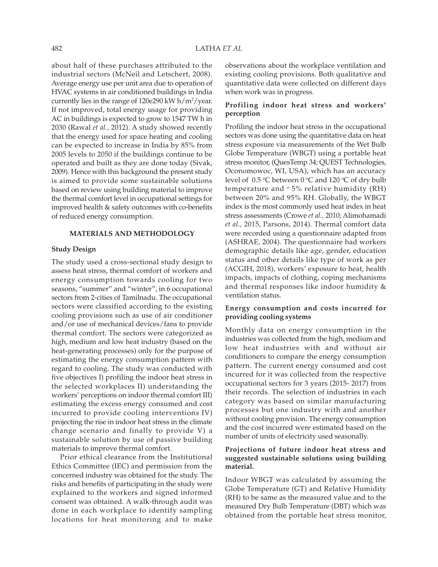about half of these purchases attributed to the industrial sectors (McNeil and Letschert, 2008). Average energy use per unit area due to operation of HVAC systems in air conditioned buildings in India currently lies in the range of 120e290 kW h/m²/year. If not improved, total energy usage for providing AC in buildings is expected to grow to 1547 TW h in 2030 (Rawal *et al.,* 2012). A study showed recently that the energy used for space heating and cooling can be expected to increase in India by 85% from 2005 levels to 2050 if the buildings continue to be operated and built as they are done today (Sivak, 2009). Hence with this background the present study is aimed to provide some sustainable solutions based on review using building material to improve the thermal comfort level in occupational settings for improved health & safety outcomes with co-benefits of reduced energy consumption.

## **MATERIALS AND METHODOLOGY**

## **Study Design**

The study used a cross-sectional study design to assess heat stress, thermal comfort of workers and energy consumption towards cooling for two seasons, "summer" and "winter", in 6 occupational sectors from 2-cities of Tamilnadu. The occupational sectors were classified according to the existing cooling provisions such as use of air conditioner and/or use of mechanical devices/fans to provide thermal comfort. The sectors were categorized as high, medium and low heat industry (based on the heat-generating processes) only for the purpose of estimating the energy consumption pattern with regard to cooling. The study was conducted with five objectives I) profiling the indoor heat stress in the selected workplaces II) understanding the workers' perceptions on indoor thermal comfort III) estimating the excess energy consumed and cost incurred to provide cooling interventions IV) projecting the rise in indoor heat stress in the climate change scenario and finally to provide V) a sustainable solution by use of passive building materials to improve thermal comfort.

Prior ethical clearance from the Institutional Ethics Committee (IEC) and permission from the concerned industry was obtained for the study. The risks and benefits of participating in the study were explained to the workers and signed informed consent was obtained. A walk-through audit was done in each workplace to identify sampling locations for heat monitoring and to make

observations about the workplace ventilation and existing cooling provisions. Both qualitative and quantitative data were collected on different days when work was in progress.

# **Profiling indoor heat stress and workers' perception**

Profiling the indoor heat stress in the occupational sectors was done using the quantitative data on heat stress exposure via measurements of the Wet Bulb Globe Temperature (WBGT) using a portable heat stress monitor, (QuesTemp 34; QUEST Technologies, Oconomowoc, WI, USA), which has an accuracy level of  $\,$  0.5 °C between 0 °C and 120 °C of dry bulb temperature and  $\degree$  5% relative humidity (RH) between 20% and 95% RH. Globally, the WBGT index is the most commonly used heat index in heat stress assessments (Crowe *et al.,* 2010; Alimohamadi *et al.,* 2015, Parsons, 2014). Thermal comfort data were recorded using a questionnaire adapted from (ASHRAE, 2004). The questionnaire had workers demographic details like age, gender, education status and other details like type of work as per (ACGIH, 2018), workers' exposure to heat, health impacts, impacts of clothing, coping mechanisms and thermal responses like indoor humidity & ventilation status.

# **Energy consumption and costs incurred for providing cooling systems**

Monthly data on energy consumption in the industries was collected from the high, medium and low heat industries with and without air conditioners to compare the energy consumption pattern. The current energy consumed and cost incurred for it was collected from the respective occupational sectors for 3 years (2015- 2017) from their records. The selection of industries in each category was based on similar manufacturing processes but one industry with and another without cooling provision. The energy consumption and the cost incurred were estimated based on the number of units of electricity used seasonally.

# **Projections of future indoor heat stress and suggested sustainable solutions using building material.**

Indoor WBGT was calculated by assuming the Globe Temperature (GT) and Relative Humidity (RH) to be same as the measured value and to the measured Dry Bulb Temperature (DBT) which was obtained from the portable heat stress monitor,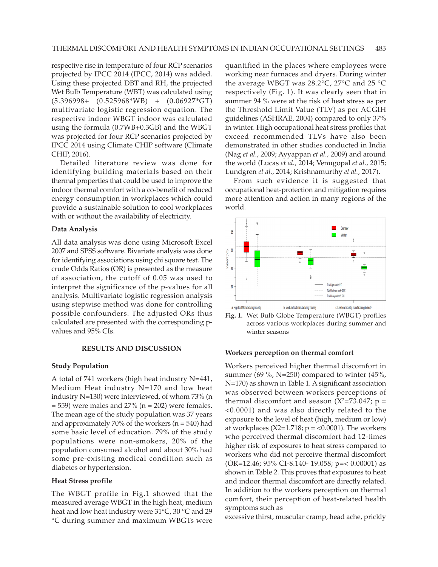respective rise in temperature of four RCP scenarios projected by IPCC 2014 (IPCC, 2014) was added. Using these projected DBT and RH, the projected Wet Bulb Temperature (WBT) was calculated using (5.396998+ (0.525968\*WB) + (0.06927\*GT) multivariate logistic regression equation. The respective indoor WBGT indoor was calculated using the formula (0.7WB+0.3GB) and the WBGT was projected for four RCP scenarios projected by IPCC 2014 using Climate CHIP software (Climate CHIP, 2016).

Detailed literature review was done for identifying building materials based on their thermal properties that could be used to improve the indoor thermal comfort with a co-benefit of reduced energy consumption in workplaces which could provide a sustainable solution to cool workplaces with or without the availability of electricity.

#### **Data Analysis**

All data analysis was done using Microsoft Excel 2007 and SPSS software. Bivariate analysis was done for identifying associations using chi square test. The crude Odds Ratios (OR) is presented as the measure of association, the cutoff of 0.05 was used to interpret the significance of the p-values for all analysis. Multivariate logistic regression analysis using stepwise method was done for controlling possible confounders. The adjusted ORs thus calculated are presented with the corresponding pvalues and 95% CIs.

## **RESULTS AND DISCUSSION**

#### **Study Population**

A total of 741 workers (high heat industry N=441, Medium Heat industry N=170 and low heat industry N=130) were interviewed, of whom 73% (n  $= 559$ ) were males and 27% (n  $= 202$ ) were females. The mean age of the study population was 37 years and approximately 70% of the workers ( $n = 540$ ) had some basic level of education. 79% of the study populations were non-smokers, 20% of the population consumed alcohol and about 30% had some pre-existing medical condition such as diabetes or hypertension.

#### **Heat Stress profile**

The WBGT profile in Fig.1 showed that the measured average WBGT in the high heat, medium heat and low heat industry were 31°C, 30 °C and 29 °C during summer and maximum WBGTs were quantified in the places where employees were working near furnaces and dryers. During winter the average WBGT was 28.2°C, 27°C and 25 °C respectively (Fig. 1). It was clearly seen that in summer 94 % were at the risk of heat stress as per the Threshold Limit Value (TLV) as per ACGIH guidelines (ASHRAE, 2004) compared to only 37% in winter. High occupational heat stress profiles that exceed recommended TLVs have also been demonstrated in other studies conducted in India (Nag *et al.,* 2009; Ayyappan *et al.,* 2009) and around the world (Lucas *et al.,* 2014; Venugopal *et al.,* 2015; Lundgren *et al.,* 2014; Krishnamurthy *et al.,* 2017).

From such evidence it is suggested that occupational heat-protection and mitigation requires more attention and action in many regions of the world.





#### **Workers perception on thermal comfort**

Workers perceived higher thermal discomfort in summer (69 %, N=250) compared to winter (45%, N=170) as shown in Table 1. A significant association was observed between workers perceptions of thermal discomfort and season (X<sup>2</sup>=73.047; p = <0.0001) and was also directly related to the exposure to the level of heat (high, medium or low) at workplaces ( $X2=1.718$ ;  $p = <0.0001$ ). The workers who perceived thermal discomfort had 12-times higher risk of exposures to heat stress compared to workers who did not perceive thermal discomfort (OR=12.46; 95% CI-8.140- 19.058; p=< 0.00001) as shown in Table 2. This proves that exposures to heat and indoor thermal discomfort are directly related. In addition to the workers perception on thermal comfort, their perception of heat-related health symptoms such as

excessive thirst, muscular cramp, head ache, prickly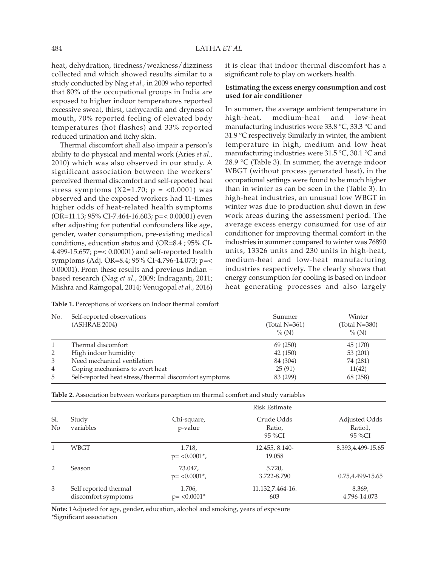heat, dehydration, tiredness/weakness/dizziness collected and which showed results similar to a study conducted by Nag *et al.,* in 2009 who reported that 80% of the occupational groups in India are exposed to higher indoor temperatures reported excessive sweat, thirst, tachycardia and dryness of mouth, 70% reported feeling of elevated body temperatures (hot flashes) and 33% reported reduced urination and itchy skin.

Thermal discomfort shall also impair a person's ability to do physical and mental work (Aries *et al.,* 2010) which was also observed in our study. A significant association between the workers' perceived thermal discomfort and self-reported heat stress symptoms  $(X2=1.70; p = 0.0001)$  was observed and the exposed workers had 11-times higher odds of heat-related health symptoms (OR=11.13; 95% CI-7.464-16.603; p=< 0.00001) even after adjusting for potential confounders like age, gender, water consumption, pre-existing medical conditions, education status and (OR=8.4 ; 95% CI-4.499-15.657; p=< 0.00001) and self-reported health symptoms (Adj. OR=8.4; 95% CI-4.796-14.073; p=< 0.00001). From these results and previous Indian – based research (Nag *et al.,* 2009; Indraganti, 2011; Mishra and Ramgopal, 2014; Venugopal *et al.,* 2016)

**Table 1.** Perceptions of workers on Indoor thermal comfort

it is clear that indoor thermal discomfort has a significant role to play on workers health.

## **Estimating the excess energy consumption and cost used for air conditioner**

In summer, the average ambient temperature in high-heat, medium-heat and low-heat manufacturing industries were 33.8 °C, 33.3 °C and 31.9 °C respectively. Similarly in winter, the ambient temperature in high, medium and low heat manufacturing industries were 31.5 °C, 30.1 °C and 28.9 °C (Table 3). In summer, the average indoor WBGT (without process generated heat), in the occupational settings were found to be much higher than in winter as can be seen in the (Table 3). In high-heat industries, an unusual low WBGT in winter was due to production shut down in few work areas during the assessment period. The average excess energy consumed for use of air conditioner for improving thermal comfort in the industries in summer compared to winter was 76890 units, 13326 units and 230 units in high-heat, medium-heat and low-heat manufacturing industries respectively. The clearly shows that energy consumption for cooling is based on indoor heat generating processes and also largely

| No.            | Self-reported observations<br>(ASHRAE 2004)           | Summer<br>(Total N=361)<br>$\%$ (N) | Winter<br>$(Total N=380)$<br>$\%$ (N) |
|----------------|-------------------------------------------------------|-------------------------------------|---------------------------------------|
| 1              | Thermal discomfort                                    | 69 (250)                            | 45 (170)                              |
| 2              | High indoor humidity                                  | 42 (150)                            | 53 (201)                              |
| 3              | Need mechanical ventilation                           | 84 (304)                            | 74 (281)                              |
| $\overline{4}$ | Coping mechanisms to avert heat                       | 25(91)                              | 11(42)                                |
| 5              | Self-reported heat stress/thermal discomfort symptoms | 83 (299)                            | 68 (258)                              |

|                       |                                              |                                         | <b>Risk Estimate</b>           |                                    |
|-----------------------|----------------------------------------------|-----------------------------------------|--------------------------------|------------------------------------|
| Sl.<br>N <sub>0</sub> | Study<br>variables                           | Chi-square,<br>p-value                  | Crude Odds<br>Ratio,<br>95 %CI | Adjusted Odds<br>Ratio1,<br>95 %CI |
|                       | WBGT                                         | 1.718,<br>$p = <0.0001$ <sup>*</sup> ,  | 12.455, 8.140-<br>19.058       | 8.393,4.499-15.65                  |
| 2                     | <b>Season</b>                                | 73.047,<br>$p = <0.0001$ <sup>*</sup> , | 5.720,<br>3.722-8.790          | 0.75,4.499-15.65                   |
| 3                     | Self reported thermal<br>discomfort symptoms | 1.706,<br>$p = < 0.0001*$               | 11.132,7.464-16.<br>603        | 8.369,<br>4.796-14.073             |

**Table 2.** Association between workers perception on thermal comfort and study variables

**Note:** 1Adjusted for age, gender, education, alcohol and smoking, years of exposure \*Significant association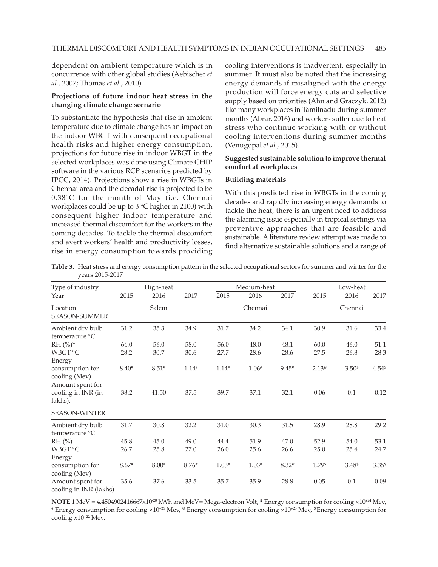dependent on ambient temperature which is in concurrence with other global studies (Aebischer *et al.,* 2007; Thomas *et al.,* 2010).

## **Projections of future indoor heat stress in the changing climate change scenario**

To substantiate the hypothesis that rise in ambient temperature due to climate change has an impact on the indoor WBGT with consequent occupational health risks and higher energy consumption, projections for future rise in indoor WBGT in the selected workplaces was done using Climate CHIP software in the various RCP scenarios predicted by IPCC, 2014). Projections show a rise in WBGTs in Chennai area and the decadal rise is projected to be 0.38°C for the month of May (i.e. Chennai workplaces could be up to 3 °C higher in 2100) with consequent higher indoor temperature and increased thermal discomfort for the workers in the coming decades. To tackle the thermal discomfort and avert workers' health and productivity losses, rise in energy consumption towards providing cooling interventions is inadvertent, especially in summer. It must also be noted that the increasing energy demands if misaligned with the energy production will force energy cuts and selective supply based on priorities (Ahn and Graczyk, 2012) like many workplaces in Tamilnadu during summer months (Abrar, 2016) and workers suffer due to heat stress who continue working with or without cooling interventions during summer months (Venugopal *et al.,* 2015).

# **Suggested sustainable solution to improve thermal comfort at workplaces**

## **Building materials**

With this predicted rise in WBGTs in the coming decades and rapidly increasing energy demands to tackle the heat, there is an urgent need to address the alarming issue especially in tropical settings via preventive approaches that are feasible and sustainable. A literature review attempt was made to find alternative sustainable solutions and a range of

| Table 3. Heat stress and energy consumption pattern in the selected occupational sectors for summer and winter for the |  |  |  |
|------------------------------------------------------------------------------------------------------------------------|--|--|--|
| vears 2015-2017                                                                                                        |  |  |  |

| Type of industry                                     | High-heat |         |         | Medium-heat |         |         | Low-heat       |                  |                   |
|------------------------------------------------------|-----------|---------|---------|-------------|---------|---------|----------------|------------------|-------------------|
| Year                                                 | 2015      | 2016    | 2017    | 2015        | 2016    | 2017    | 2015           | 2016             | 2017              |
| Location<br><b>SEASON-SUMMER</b>                     |           | Salem   |         |             | Chennai |         |                | Chennai          |                   |
| Ambient dry bulb<br>temperature °C                   | 31.2      | 35.3    | 34.9    | 31.7        | 34.2    | 34.1    | 30.9           | 31.6             | 33.4              |
| $RH (%)^*$                                           | 64.0      | 56.0    | 58.0    | 56.0        | 48.0    | 48.1    | 60.0           | 46.0             | 51.1              |
| WBGT °C<br>Energy                                    | 28.2      | 30.7    | 30.6    | 27.7        | 28.6    | 28.6    | 27.5           | 26.8             | 28.3              |
| consumption for<br>cooling (Mev)<br>Amount spent for | $8.40*$   | $8.51*$ | $1.14*$ | $1.14*$     | $1.06*$ | $9.45*$ | $2.13^{\circ}$ | 3.50 <sup></sup> | $4.54^{\$}$       |
| cooling in INR (in<br>lakhs).                        | 38.2      | 41.50   | 37.5    | 39.7        | 37.1    | 32.1    | 0.06           | 0.1              | 0.12              |
| <b>SEASON-WINTER</b>                                 |           |         |         |             |         |         |                |                  |                   |
| Ambient dry bulb<br>temperature °C                   | 31.7      | 30.8    | 32.2    | 31.0        | 30.3    | 31.5    | 28.9           | 28.8             | 29.2              |
| $RH$ (%)                                             | 45.8      | 45.0    | 49.0    | 44.4        | 51.9    | 47.0    | 52.9           | 54.0             | 53.1              |
| WBGT °C                                              | 26.7      | 25.8    | 27.0    | 26.0        | 25.6    | 26.6    | 25.0           | 25.4             | 24.7              |
| Energy                                               |           |         |         |             |         |         |                |                  |                   |
| consumption for<br>cooling (Mev)                     | $8.67*$   | $8.00*$ | $8.76*$ | $1.03*$     | $1.03*$ | $8.32*$ | 1.79\$         | 3.48\$           | 3.35 <sup>s</sup> |
| Amount spent for<br>cooling in INR (lakhs).          | 35.6      | 37.6    | 33.5    | 35.7        | 35.9    | 28.8    | 0.05           | 0.1              | 0.09              |

**NOTE** 1 MeV = 4.4504902416667x10-20 kWh and MeV= Mega-electron Volt, **\*** Energy consumption for cooling ×10+24 Mev, # Energy consumption for cooling ×10+25 Mev, **@** Energy consumption for cooling ×10+23 Mev, **\$** Energy consumption for cooling x10+22 Mev.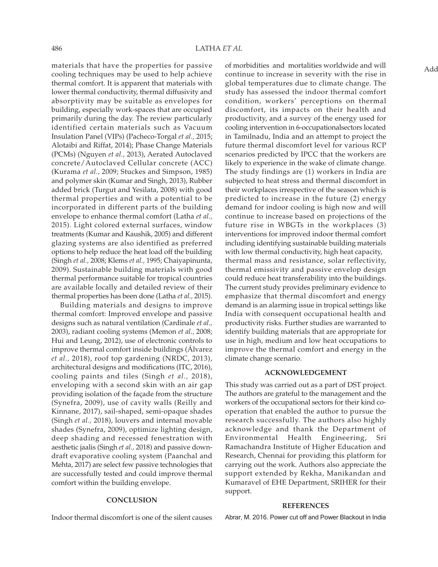materials that have the properties for passive cooling techniques may be used to help achieve thermal comfort. It is apparent that materials with lower thermal conductivity, thermal diffusivity and absorptivity may be suitable as envelopes for building, especially work-spaces that are occupied primarily during the day. The review particularly identified certain materials such as Vacuum Insulation Panel (VIPs) (Pacheco-Torgal *et al.,* 2015; Alotaibi and Riffat, 2014); Phase Change Materials (PCMs) (Nguyen *et al.,* 2013), Aerated Autoclaved concrete/Autoclaved Cellular concrete (ACC) (Kurama *et al.,* 2009; Stuckes and Simpson, 1985) and polymer skin (Kumar and Singh, 2013), Rubber added brick (Turgut and Yesilata, 2008) with good thermal properties and with a potential to be incorporated in different parts of the building envelope to enhance thermal comfort (Latha *et al.,* 2015). Light colored external surfaces, window treatments (Kumar and Kaushik, 2005) and different glazing systems are also identified as preferred options to help reduce the heat load off the building (Singh *et al.,* 2008; Klems *et al.,* 1995; Chaiyapinunta, 2009). Sustainable building materials with good thermal performance suitable for tropical countries are available locally and detailed review of their thermal properties has been done (Latha *et al.,* 2015).

Building materials and designs to improve thermal comfort: Improved envelope and passive designs such as natural ventilation (Cardinale *et al.,* 2003), radiant cooling systems (Memon *et al.,* 2008; Hui and Leung, 2012), use of electronic controls to improve thermal comfort inside buildings (Álvarez *et al.,* 2018), roof top gardening (NRDC, 2013), architectural designs and modifications (ITC, 2016), cooling paints and tiles (Singh *et al.,* 2018), enveloping with a second skin with an air gap providing isolation of the façade from the structure (Synefra, 2009), use of cavity walls (Reilly and Kinnane, 2017), sail-shaped, semi-opaque shades (Singh *et al.,* 2018), louvers and internal movable shades (Synefra, 2009), optimize lighting design, deep shading and recessed fenestration with aesthetic jaalis (Singh *et al.,* 2018) and passive downdraft evaporative cooling system (Paanchal and Mehta, 2017) are select few passive technologies that are successfully tested and could improve thermal comfort within the building envelope.

## **CONCLUSION**

Indoor thermal discomfort is one of the silent causes

of morbidities and mortalities worldwide and will continue to increase in severity with the rise in global temperatures due to climate change. The study has assessed the indoor thermal comfort condition, workers' perceptions on thermal discomfort, its impacts on their health and productivity, and a survey of the energy used for cooling intervention in 6-occupationalsectors located in Tamilnadu, India and an attempt to project the future thermal discomfort level for various RCP scenarios predicted by IPCC that the workers are likely to experience in the wake of climate change. The study findings are (1) workers in India are subjected to heat stress and thermal discomfort in their workplaces irrespective of the season which is predicted to increase in the future (2) energy demand for indoor cooling is high now and will continue to increase based on projections of the future rise in WBGTs in the workplaces (3) interventions for improved indoor thermal comfort including identifying sustainable building materials with low thermal conductivity, high heat capacity, thermal mass and resistance, solar reflectivity, thermal emissivity and passive envelop design could reduce heat transferability into the buildings. The current study provides preliminary evidence to emphasize that thermal discomfort and energy demand is an alarming issue in tropical settings like India with consequent occupational health and productivity risks. Further studies are warranted to identify building materials that are appropriate for use in high, medium and low heat occupations to improve the thermal comfort and energy in the climate change scenario.

### **ACKNOWLEDGEMENT**

This study was carried out as a part of DST project. The authors are grateful to the management and the workers of the occupational sectors for their kind cooperation that enabled the author to pursue the research successfully. The authors also highly acknowledge and thank the Department of Environmental Health Engineering, Sri Ramachandra Institute of Higher Education and Research, Chennai for providing this platform for carrying out the work. Authors also appreciate the support extended by Rekha, Manikandan and Kumaravel of EHE Department, SRIHER for their support.

#### **REFERENCES**

Abrar, M. 2016. Power cut off and Power Blackout in India

Add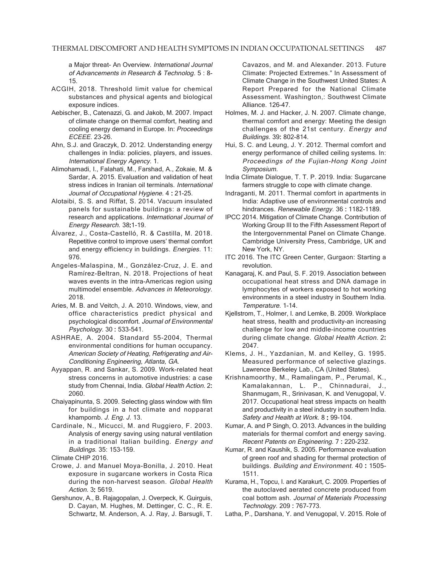a Major threat- An Overview. International Journal of Advancements in Research & Technolog. 5 : 8- 15.

- ACGIH, 2018. Threshold limit value for chemical substances and physical agents and biological exposure indices.
- Aebischer, B., Catenazzi, G. and Jakob, M. 2007. Impact of climate change on thermal comfort, heating and cooling energy demand in Europe. In: Proceedings ECEEE. 23-26.
- Ahn, S.J. and Graczyk, D. 2012. Understanding energy challenges in India: policies, players, and issues. International Energy Agency. 1.
- Alimohamadi, I., Falahati, M., Farshad, A., Zokaie, M. & Sardar, A. 2015. Evaluation and validation of heat stress indices in Iranian oil terminals. International Journal of Occupational Hygiene. 4: 21-25.
- Alotaibi, S. S. and Riffat, S. 2014. Vacuum insulated panels for sustainable buildings: a review of research and applications. International Journal of Energy Research. 38:1-19.
- Álvarez, J., Costa-Castelló, R. & Castilla, M. 2018. Repetitive control to improve users' thermal comfort and energy efficiency in buildings. Energies. 11: 976.
- Angeles-Malaspina, M., González-Cruz, J. E. and Ramírez-Beltran, N. 2018. Projections of heat waves events in the intra-Americas region using multimodel ensemble. Advances in Meteorology. 2018.
- Aries, M. B. and Veitch, J. A. 2010. Windows, view, and office characteristics predict physical and psychological discomfort. Journal of Environmental Psychology. 30 : 533-541. :
- ASHRAE, A. 2004. Standard 55-2004, Thermal environmental conditions for human occupancy. American Society of Heating, Refrigerating and Air-Conditioning Engineering, Atlanta, GA.
- Ayyappan, R. and Sankar, S. 2009. Work-related heat stress concerns in automotive industries: a case study from Chennai, India. Global Health Action. 2: 2060.
- Chaiyapinunta, S. 2009. Selecting glass window with film for buildings in a hot climate and nopparat khampornb. J. Eng. J. 13.
- Cardinale, N., Micucci, M. and Ruggiero, F. 2003. Analysis of energy saving using natural ventilation in a traditional Italian building. Energy and Buildings. 35: 153-159.

Climate CHIP 2016.

- Crowe, J. and Manuel Moya-Bonilla, J. 2010. Heat exposure in sugarcane workers in Costa Rica during the non-harvest season. Global Health Action. 3: 5619.
- Gershunov, A., B. Rajagopalan, J. Overpeck, K. Guirguis, D. Cayan, M. Hughes, M. Dettinger, C. C., R. E. Schwartz, M. Anderson, A. J. Ray, J. Barsugli, T.

Cavazos, and M. and Alexander. 2013. Future Climate: Projected Extremes." In Assessment of Climate Change in the Southwest United States: A Report Prepared for the National Climate Assessment. Washington,: Southwest Climate Alliance. 126–47.

- Holmes, M. J. and Hacker, J. N. 2007. Climate change, thermal comfort and energy: Meeting the design challenges of the 21st century. Energy and Buildings. 39: 802-814. :
- Hui, S. C. and Leung, J. Y. 2012. Thermal comfort and energy performance of chilled ceiling systems. In: Proceedings of the Fujian-Hong Kong Joint Symposium.
- India Climate Dialogue, T. T. P. 2019. India: Sugarcane farmers struggle to cope with climate change.
- Indraganti, M. 2011. Thermal comfort in apartments in India: Adaptive use of environmental controls and hindrances. Renewable Energy. 36: 1182-1189.
- IPCC 2014. Mitigation of Climate Change. Contribution of Working Group III to the Fifth Assessment Report of the Intergovernmental Panel on Climate Change. Cambridge University Press, Cambridge, UK and New York, NY.
- ITC 2016. The ITC Green Center, Gurgaon: Starting a revolution.
- Kanagaraj, K. and Paul, S. F. 2019. Association between occupational heat stress and DNA damage in lymphocytes of workers exposed to hot working environments in a steel industry in Southern India. Temperature. 1-14.
- Kjellstrom, T., Holmer, I. and Lemke, B. 2009. Workplace heat stress, health and productivity–an increasing challenge for low and middle-income countries during climate change. Global Health Action. 2: 2047.
- Klems, J. H., Yazdanian, M. and Kelley, G. 1995. Measured performance of selective glazings. Lawrence Berkeley Lab., CA (United States).
- Krishnamoorthy, M., Ramalingam, P., Perumal, K., Kamalakannan, L. P., Chinnadurai, J., Shanmugam, R., Srinivasan, K. and Venugopal, V. 2017. Occupational heat stress impacts on health and productivity in a steel industry in southern India. Safety and Health at Work. 8 : 99-104.
- Kumar, A. and P Singh, O. 2013. Advances in the building materials for thermal comfort and energy saving. Recent Patents on Engineering. 7: 220-232.
- Kumar, R. and Kaushik, S. 2005. Performance evaluation of green roof and shading for thermal protection of buildings. Building and Environment. 40: 1505-1511.
- Kurama, H., Topcu, I. and Karakurt, C. 2009. Properties of the autoclaved aerated concrete produced from coal bottom ash. Journal of Materials Processing Technology. 209 : 767-773. :
- Latha, P., Darshana, Y. and Venugopal, V. 2015. Role of